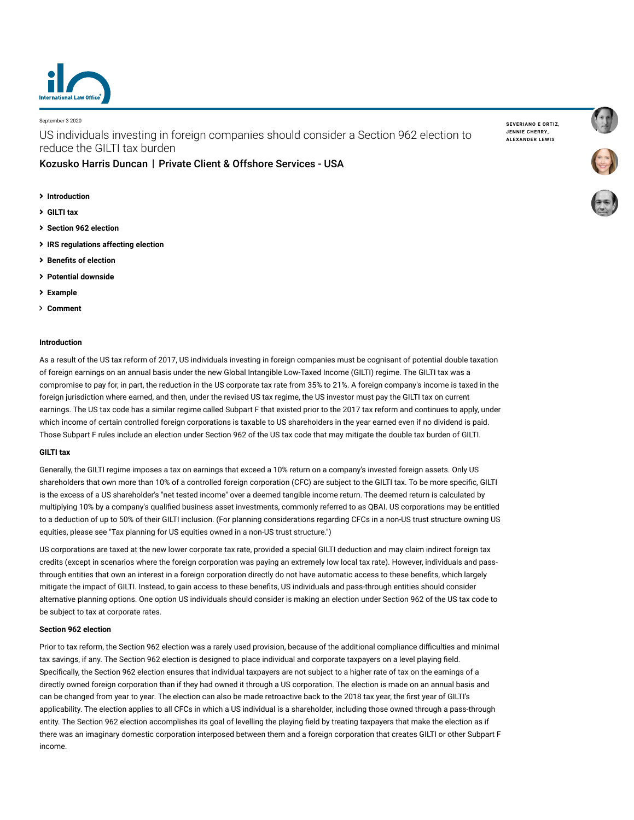

September 3 2020

US individuals investing in foreign companies should consider a Section 962 election to reduce the GILTI tax burden

# [Kozusko Harris Duncan](https://www.lexology.com/contributors/23364) | Private Client & Offshore Services - USA

- **[Introduction](#page-0-0)**
- **[GILTI tax](#page-0-1)**
- **[Section 962 election](#page-0-2)**
- **[IRS regulations affecting election](#page-1-0)**
- **[Benefits of election](#page-1-1)**
- **[Potential downside](#page-1-2)**
- **[Example](#page-2-0)**
- **[Comment](#page-2-1)**

### <span id="page-0-0"></span>**Introduction**

As a result of the US tax reform of 2017, US individuals investing in foreign companies must be cognisant of potential double taxation of foreign earnings on an annual basis under the new Global Intangible Low-Taxed Income (GILTI) regime. The GILTI tax was a compromise to pay for, in part, the reduction in the US corporate tax rate from 35% to 21%. A foreign company's income is taxed in the foreign jurisdiction where earned, and then, under the revised US tax regime, the US investor must pay the GILTI tax on current earnings. The US tax code has a similar regime called Subpart F that existed prior to the 2017 tax reform and continues to apply, under which income of certain controlled foreign corporations is taxable to US shareholders in the year earned even if no dividend is paid. Those Subpart F rules include an election under Section 962 of the US tax code that may mitigate the double tax burden of GILTI.

## <span id="page-0-1"></span>**GILTI tax**

Generally, the GILTI regime imposes a tax on earnings that exceed a 10% return on a company's invested foreign assets. Only US shareholders that own more than 10% of a controlled foreign corporation (CFC) are subject to the GILTI tax. To be more specific, GILTI is the excess of a US shareholder's "net tested income" over a deemed tangible income return. The deemed return is calculated by multiplying 10% by a company's qualified business asset investments, commonly referred to as QBAI. US corporations may be entitled to a deduction of up to 50% of their GILTI inclusion. (For planning considerations regarding CFCs in a non-US trust structure owning US equities, please see ["Tax planning for US equities owned in a non-US trust structure](https://www.internationallawoffice.com/Newsletters/Private-Client-Offshore-Services/USA/Kozusko-Harris-Duncan/Tax-planning-for-US-equities-owned-in-a-non-US-trust-structure).")

US corporations are taxed at the new lower corporate tax rate, provided a special GILTI deduction and may claim indirect foreign tax credits (except in scenarios where the foreign corporation was paying an extremely low local tax rate). However, individuals and passthrough entities that own an interest in a foreign corporation directly do not have automatic access to these benefits, which largely mitigate the impact of GILTI. Instead, to gain access to these benefits, US individuals and pass-through entities should consider alternative planning options. One option US individuals should consider is making an election under Section 962 of the US tax code to be subject to tax at corporate rates.

#### <span id="page-0-2"></span>**Section 962 election**

Prior to tax reform, the Section 962 election was a rarely used provision, because of the additional compliance difficulties and minimal tax savings, if any. The Section 962 election is designed to place individual and corporate taxpayers on a level playing field. Specifically, the Section 962 election ensures that individual taxpayers are not subject to a higher rate of tax on the earnings of a directly owned foreign corporation than if they had owned it through a US corporation. The election is made on an annual basis and can be changed from year to year. The election can also be made retroactive back to the 2018 tax year, the first year of GILTI's applicability. The election applies to all CFCs in which a US individual is a shareholder, including those owned through a pass-through entity. The Section 962 election accomplishes its goal of levelling the playing field by treating taxpayers that make the election as if there was an imaginary domestic corporation interposed between them and a foreign corporation that creates GILTI or other Subpart F income.

**[SEVERIANO](https://www.lexology.com/23364/author/Severiano_E_Ortiz/) E ORTIZ, JENNIE [CHERRY,](https://www.lexology.com/23364/author/Jennie_Cherry/) [ALEXANDER](https://www.lexology.com/23364/author/Alexander_Lewis/) LEWIS**

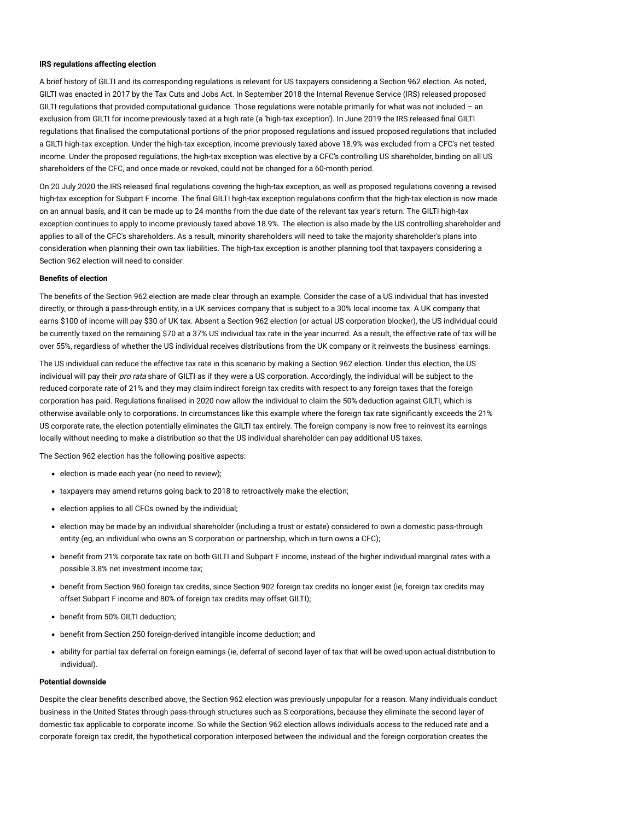#### <span id="page-1-0"></span>**IRS regulations affecting election**

A brief history of GILTI and its corresponding regulations is relevant for US taxpayers considering a Section 962 election. As noted, GILTI was enacted in 2017 by the Tax Cuts and Jobs Act. In September 2018 the Internal Revenue Service (IRS) released proposed GILTI regulations that provided computational guidance. Those regulations were notable primarily for what was not included – an exclusion from GILTI for income previously taxed at a high rate (a 'high-tax exception'). In June 2019 the IRS released final GILTI regulations that finalised the computational portions of the prior proposed regulations and issued proposed regulations that included a GILTI high-tax exception. Under the high-tax exception, income previously taxed above 18.9% was excluded from a CFC's net tested income. Under the proposed regulations, the high-tax exception was elective by a CFC's controlling US shareholder, binding on all US shareholders of the CFC, and once made or revoked, could not be changed for a 60-month period.

On 20 July 2020 the IRS released final regulations covering the high-tax exception, as well as proposed regulations covering a revised high-tax exception for Subpart F income. The final GILTI high-tax exception regulations confirm that the high-tax election is now made on an annual basis, and it can be made up to 24 months from the due date of the relevant tax year's return. The GILTI high-tax exception continues to apply to income previously taxed above 18.9%. The election is also made by the US controlling shareholder and applies to all of the CFC's shareholders. As a result, minority shareholders will need to take the majority shareholder's plans into consideration when planning their own tax liabilities. The high-tax exception is another planning tool that taxpayers considering a Section 962 election will need to consider.

#### <span id="page-1-1"></span>**Benefits of election**

The benefits of the Section 962 election are made clear through an example. Consider the case of a US individual that has invested directly, or through a pass-through entity, in a UK services company that is subject to a 30% local income tax. A UK company that earns \$100 of income will pay \$30 of UK tax. Absent a Section 962 election (or actual US corporation blocker), the US individual could be currently taxed on the remaining \$70 at a 37% US individual tax rate in the year incurred. As a result, the effective rate of tax will be over 55%, regardless of whether the US individual receives distributions from the UK company or it reinvests the business' earnings.

The US individual can reduce the effective tax rate in this scenario by making a Section 962 election. Under this election, the US individual will pay their pro rata share of GILTI as if they were a US corporation. Accordingly, the individual will be subject to the reduced corporate rate of 21% and they may claim indirect foreign tax credits with respect to any foreign taxes that the foreign corporation has paid. Regulations finalised in 2020 now allow the individual to claim the 50% deduction against GILTI, which is otherwise available only to corporations. In circumstances like this example where the foreign tax rate significantly exceeds the 21% US corporate rate, the election potentially eliminates the GILTI tax entirely. The foreign company is now free to reinvest its earnings locally without needing to make a distribution so that the US individual shareholder can pay additional US taxes.

The Section 962 election has the following positive aspects:

- election is made each year (no need to review);
- taxpayers may amend returns going back to 2018 to retroactively make the election;
- election applies to all CFCs owned by the individual;
- election may be made by an individual shareholder (including a trust or estate) considered to own a domestic pass-through entity (eg, an individual who owns an S corporation or partnership, which in turn owns a CFC);
- benefit from 21% corporate tax rate on both GILTI and Subpart F income, instead of the higher individual marginal rates with a possible 3.8% net investment income tax;
- benefit from Section 960 foreign tax credits, since Section 902 foreign tax credits no longer exist (ie, foreign tax credits may offset Subpart F income and 80% of foreign tax credits may offset GILTI);
- benefit from 50% GILTI deduction;
- benefit from Section 250 foreign-derived intangible income deduction; and
- ability for partial tax deferral on foreign earnings (ie, deferral of second layer of tax that will be owed upon actual distribution to individual).

# <span id="page-1-2"></span>**Potential downside**

Despite the clear benefits described above, the Section 962 election was previously unpopular for a reason. Many individuals conduct business in the United States through pass-through structures such as S corporations, because they eliminate the second layer of domestic tax applicable to corporate income. So while the Section 962 election allows individuals access to the reduced rate and a corporate foreign tax credit, the hypothetical corporation interposed between the individual and the foreign corporation creates the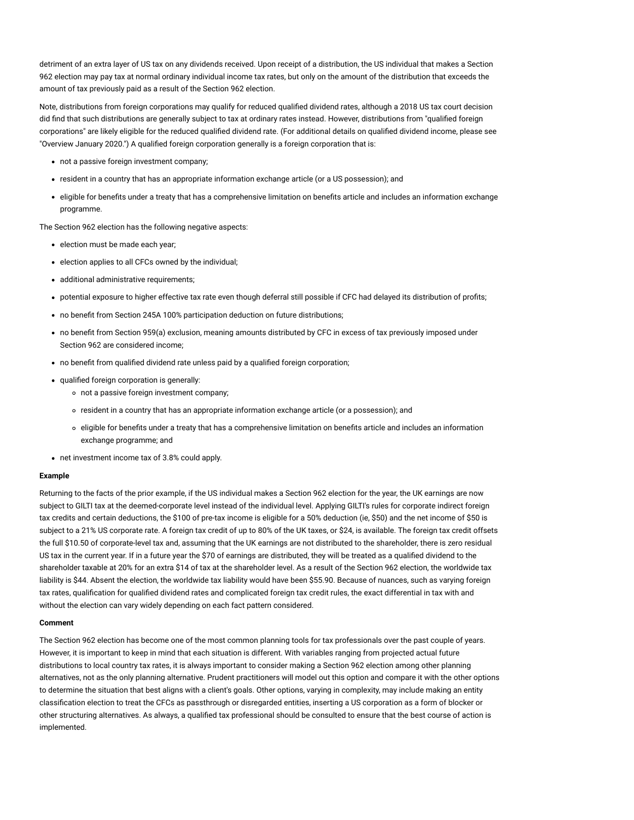detriment of an extra layer of US tax on any dividends received. Upon receipt of a distribution, the US individual that makes a Section 962 election may pay tax at normal ordinary individual income tax rates, but only on the amount of the distribution that exceeds the amount of tax previously paid as a result of the Section 962 election.

Note, distributions from foreign corporations may qualify for reduced qualified dividend rates, although a 2018 US tax court decision did find that such distributions are generally subject to tax at ordinary rates instead. However, distributions from "qualified foreign corporations" are likely eligible for the reduced qualified dividend rate. (For additional details on qualified dividend income, please see ["Overview January 2020](https://www.internationallawoffice.com/Newsletters/Private-Client-Offshore-Services/USA/Kozusko-Harris-Duncan/Overview-January-2020).") A qualified foreign corporation generally is a foreign corporation that is:

- not a passive foreign investment company;
- resident in a country that has an appropriate information exchange article (or a US possession); and
- eligible for benefits under a treaty that has a comprehensive limitation on benefits article and includes an information exchange programme.

The Section 962 election has the following negative aspects:

- election must be made each year;
- election applies to all CFCs owned by the individual;
- additional administrative requirements;
- potential exposure to higher effective tax rate even though deferral still possible if CFC had delayed its distribution of profits;
- no benefit from Section 245A 100% participation deduction on future distributions;
- no benefit from Section 959(a) exclusion, meaning amounts distributed by CFC in excess of tax previously imposed under Section 962 are considered income;
- no benefit from qualified dividend rate unless paid by a qualified foreign corporation;
- qualified foreign corporation is generally:
	- not a passive foreign investment company;
	- resident in a country that has an appropriate information exchange article (or a possession); and
	- eligible for benefits under a treaty that has a comprehensive limitation on benefits article and includes an information exchange programme; and
- net investment income tax of 3.8% could apply.

#### <span id="page-2-0"></span>**Example**

Returning to the facts of the prior example, if the US individual makes a Section 962 election for the year, the UK earnings are now subject to GILTI tax at the deemed-corporate level instead of the individual level. Applying GILTI's rules for corporate indirect foreign tax credits and certain deductions, the \$100 of pre-tax income is eligible for a 50% deduction (ie, \$50) and the net income of \$50 is subject to a 21% US corporate rate. A foreign tax credit of up to 80% of the UK taxes, or \$24, is available. The foreign tax credit offsets the full \$10.50 of corporate-level tax and, assuming that the UK earnings are not distributed to the shareholder, there is zero residual US tax in the current year. If in a future year the \$70 of earnings are distributed, they will be treated as a qualified dividend to the shareholder taxable at 20% for an extra \$14 of tax at the shareholder level. As a result of the Section 962 election, the worldwide tax liability is \$44. Absent the election, the worldwide tax liability would have been \$55.90. Because of nuances, such as varying foreign tax rates, qualification for qualified dividend rates and complicated foreign tax credit rules, the exact differential in tax with and without the election can vary widely depending on each fact pattern considered.

#### <span id="page-2-1"></span>**Comment**

The Section 962 election has become one of the most common planning tools for tax professionals over the past couple of years. However, it is important to keep in mind that each situation is different. With variables ranging from projected actual future distributions to local country tax rates, it is always important to consider making a Section 962 election among other planning alternatives, not as the only planning alternative. Prudent practitioners will model out this option and compare it with the other options to determine the situation that best aligns with a client's goals. Other options, varying in complexity, may include making an entity classification election to treat the CFCs as passthrough or disregarded entities, inserting a US corporation as a form of blocker or other structuring alternatives. As always, a qualified tax professional should be consulted to ensure that the best course of action is implemented.